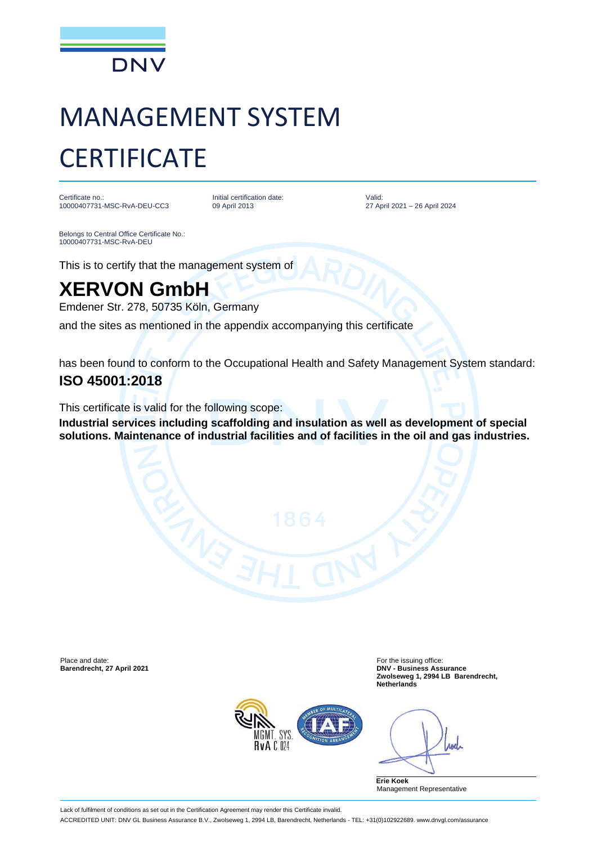

# MANAGEMENT SYSTEM **CERTIFICATE**

Certificate no.: 10000407731-MSC-RvA-DEU-CC3 Initial certification date: 09 April 2013

Valid: 27 April 2021 – 26 April 2024

Belongs to Central Office Certificate No.: 10000407731-MSC-RvA-DEU

This is to certify that the management system of

## **XERVON GmbH**

Emdener Str. 278, 50735 Köln, Germany

and the sites as mentioned in the appendix accompanying this certificate

has been found to conform to the Occupational Health and Safety Management System standard:

### **ISO 45001:2018**

This certificate is valid for the following scope:

**Industrial services including scaffolding and insulation as well as development of special solutions. Maintenance of industrial facilities and of facilities in the oil and gas industries.**

Place and date: For the issuing office:<br> **Barendrecht, 27 April 2021** Contract Contract Contract Contract Contract Contract Contract Contract Contract Con

**Barendrecht, 27 April 2021 DNV - Business Assurance Zwolseweg 1, 2994 LB Barendrecht, Netherlands**



rod

**Erie Koek** Management Representative

Lack of fulfilment of conditions as set out in the Certification Agreement may render this Certificate invalid.

ACCREDITED UNIT: DNV GL Business Assurance B.V., Zwolseweg 1, 2994 LB, Barendrecht, Netherlands - TEL: +31(0)102922689. www.dnvgl.com/assurance